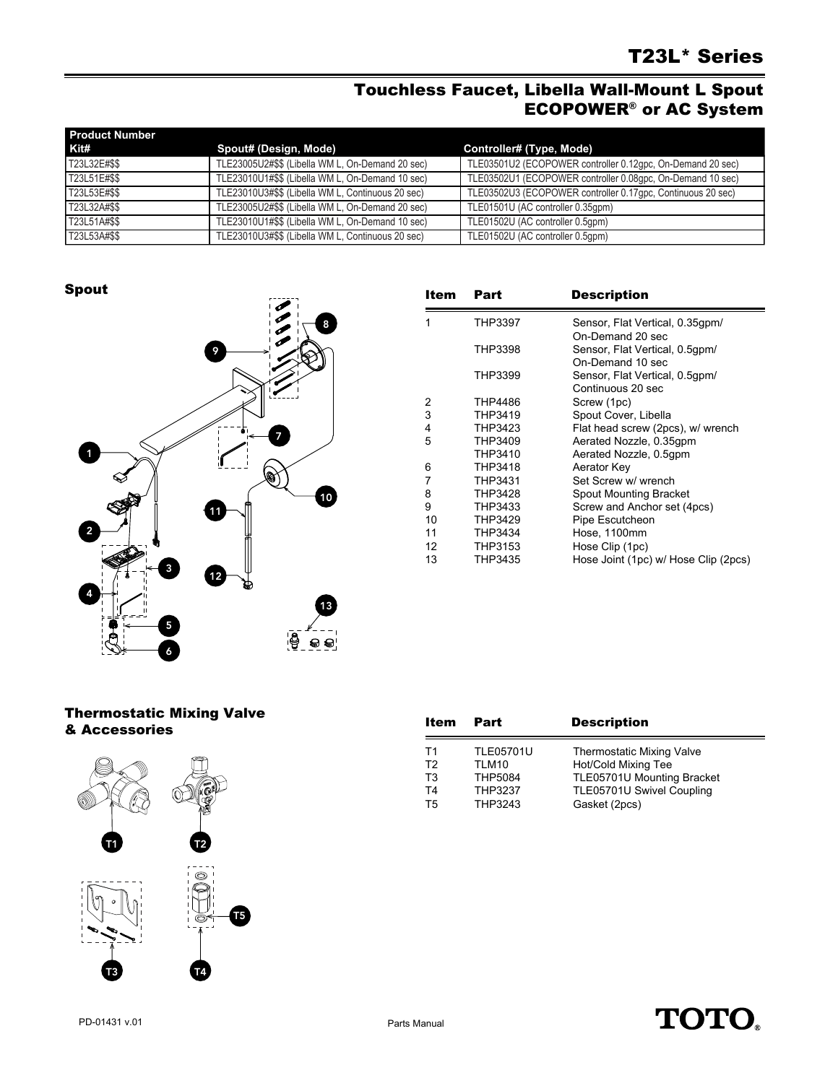## Touchless Faucet, Libella Wall-Mount L Spout ECOPOWER® or AC System

| <b>Product Number</b> |                                                   |                                                             |
|-----------------------|---------------------------------------------------|-------------------------------------------------------------|
| Kit#                  | Spout# (Design, Mode)                             | Controller# (Type, Mode)                                    |
| T23L32E#\$\$          | TLE23005U2#\$\$ (Libella WM L, On-Demand 20 sec)  | TLE03501U2 (ECOPOWER controller 0.12qpc, On-Demand 20 sec)  |
| T23L51E#\$\$          | TLE23010U1#\$\$ (Libella WM L, On-Demand 10 sec)  | TLE03502U1 (ECOPOWER controller 0.08gpc, On-Demand 10 sec)  |
| T23L53E#\$\$          | TLE23010U3#\$\$ (Libella WM L, Continuous 20 sec) | TLE03502U3 (ECOPOWER controller 0.17gpc, Continuous 20 sec) |
| T23L32A#\$\$          | TLE23005U2#\$\$ (Libella WM L, On-Demand 20 sec)  | TLE01501U (AC controller 0.35gpm)                           |
| T23L51A#\$\$          | TLE23010U1#\$\$ (Libella WM L, On-Demand 10 sec)  | TLE01502U (AC controller 0.5qpm)                            |
| T23L53A#\$\$          | TLE23010U3#\$\$ (Libella WM L, Continuous 20 sec) | TLE01502U (AC controller 0.5qpm)                            |

Spout



| Item | Part    | <b>Description</b>                   |
|------|---------|--------------------------------------|
| 1    | THP3397 | Sensor, Flat Vertical, 0.35gpm/      |
|      |         | On-Demand 20 sec                     |
|      | THP3398 | Sensor, Flat Vertical, 0.5gpm/       |
|      |         | On-Demand 10 sec                     |
|      | THP3399 | Sensor, Flat Vertical, 0.5gpm/       |
|      |         | Continuous 20 sec                    |
| 2    | THP4486 | Screw (1pc)                          |
| 3    | THP3419 | Spout Cover, Libella                 |
| 4    | THP3423 | Flat head screw (2pcs), w/ wrench    |
| 5    | THP3409 | Aerated Nozzle, 0.35gpm              |
|      | THP3410 | Aerated Nozzle, 0.5gpm               |
| 6    | THP3418 | Aerator Key                          |
| 7    | THP3431 | Set Screw w/ wrench                  |
| 8    | THP3428 | Spout Mounting Bracket               |
| 9    | THP3433 | Screw and Anchor set (4pcs)          |
| 10   | THP3429 | Pipe Escutcheon                      |
| 11   | THP3434 | Hose, 1100mm                         |
| 12   | THP3153 | Hose Clip (1pc)                      |
| 13   | THP3435 | Hose Joint (1pc) w/ Hose Clip (2pcs) |

## Thermostatic Mixing Valve & Accessories



| Item           | Part             | <b>Description</b>               |
|----------------|------------------|----------------------------------|
| T1             | <b>TLE05701U</b> | <b>Thermostatic Mixing Valve</b> |
| T <sub>2</sub> | TLM10            | Hot/Cold Mixing Tee              |
| T <sub>3</sub> | <b>THP5084</b>   | TLE05701U Mounting Bracket       |
| T <sub>4</sub> | <b>THP3237</b>   | TLE05701U Swivel Coupling        |
| T5             | THP3243          | Gasket (2pcs)                    |